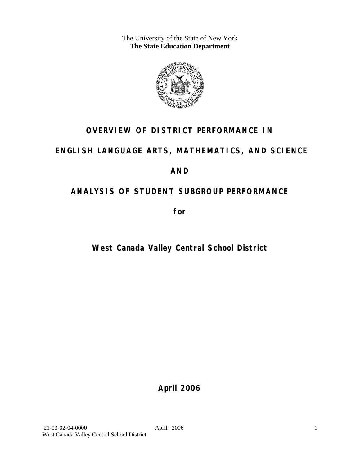The University of the State of New York **The State Education Department** 



# **OVERVIEW OF DISTRICT PERFORMANCE IN**

# **ENGLISH LANGUAGE ARTS, MATHEMATICS, AND SCIENCE**

# **AND**

# **ANALYSIS OF STUDENT SUBGROUP PERFORMANCE**

**for** 

# **West Canada Valley Central School District**

**April 2006**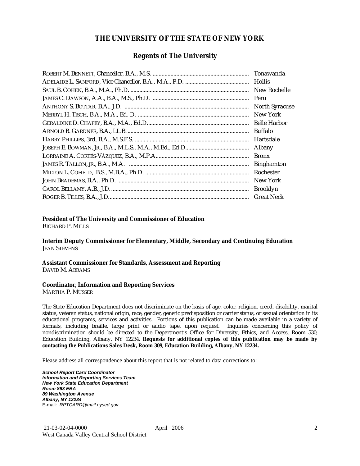### **THE UNIVERSITY OF THE STATE OF NEW YORK**

### **Regents of The University**

| Hollis                |
|-----------------------|
| New Rochelle          |
|                       |
| <b>North Syracuse</b> |
| New York              |
|                       |
| Buffalo               |
| Hartsdale             |
| Albany                |
| <b>Bronx</b>          |
| <b>Binghamton</b>     |
| Rochester             |
| New York              |
| <b>Brooklyn</b>       |
| <b>Great Neck</b>     |

### **President of The University and Commissioner of Education**

RICHARD P. MILLS

**Interim Deputy Commissioner for Elementary, Middle, Secondary and Continuing Education**  JEAN STEVENS

#### **Assistant Commissioner for Standards, Assessment and Reporting**  DAVID M. ABRAMS

#### **Coordinator, Information and Reporting Services**

MARTHA P. MUSSER

The State Education Department does not discriminate on the basis of age, color, religion, creed, disability, marital status, veteran status, national origin, race, gender, genetic predisposition or carrier status, or sexual orientation in its educational programs, services and activities. Portions of this publication can be made available in a variety of formats, including braille, large print or audio tape, upon request. Inquiries concerning this policy of nondiscrimination should be directed to the Department's Office for Diversity, Ethics, and Access, Room 530, Education Building, Albany, NY 12234. **Requests for additional copies of this publication may be made by contacting the Publications Sales Desk, Room 309, Education Building, Albany, NY 12234.** 

Please address all correspondence about this report that is not related to data corrections to:

*School Report Card Coordinator Information and Reporting Services Team New York State Education Department Room 863 EBA 89 Washington Avenue Albany, NY 12234*  E-mail: *RPTCARD@mail.nysed.gov*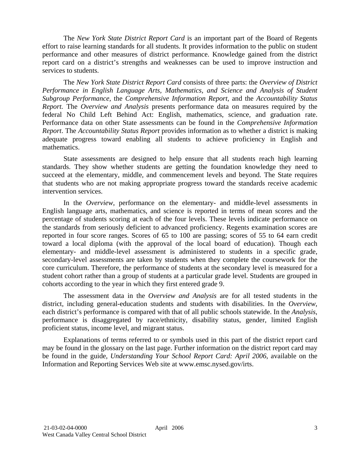The *New York State District Report Card* is an important part of the Board of Regents effort to raise learning standards for all students. It provides information to the public on student performance and other measures of district performance. Knowledge gained from the district report card on a district's strengths and weaknesses can be used to improve instruction and services to students.

The *New York State District Report Card* consists of three parts: the *Overview of District Performance in English Language Arts, Mathematics, and Science and Analysis of Student Subgroup Performance,* the *Comprehensive Information Report,* and the *Accountability Status Report.* The *Overview and Analysis* presents performance data on measures required by the federal No Child Left Behind Act: English, mathematics, science, and graduation rate. Performance data on other State assessments can be found in the *Comprehensive Information Report*. The *Accountability Status Report* provides information as to whether a district is making adequate progress toward enabling all students to achieve proficiency in English and mathematics.

State assessments are designed to help ensure that all students reach high learning standards. They show whether students are getting the foundation knowledge they need to succeed at the elementary, middle, and commencement levels and beyond. The State requires that students who are not making appropriate progress toward the standards receive academic intervention services.

In the *Overview*, performance on the elementary- and middle-level assessments in English language arts, mathematics, and science is reported in terms of mean scores and the percentage of students scoring at each of the four levels. These levels indicate performance on the standards from seriously deficient to advanced proficiency. Regents examination scores are reported in four score ranges. Scores of 65 to 100 are passing; scores of 55 to 64 earn credit toward a local diploma (with the approval of the local board of education). Though each elementary- and middle-level assessment is administered to students in a specific grade, secondary-level assessments are taken by students when they complete the coursework for the core curriculum. Therefore, the performance of students at the secondary level is measured for a student cohort rather than a group of students at a particular grade level. Students are grouped in cohorts according to the year in which they first entered grade 9.

The assessment data in the *Overview and Analysis* are for all tested students in the district, including general-education students and students with disabilities. In the *Overview*, each district's performance is compared with that of all public schools statewide. In the *Analysis*, performance is disaggregated by race/ethnicity, disability status, gender, limited English proficient status, income level, and migrant status.

Explanations of terms referred to or symbols used in this part of the district report card may be found in the glossary on the last page. Further information on the district report card may be found in the guide, *Understanding Your School Report Card: April 2006*, available on the Information and Reporting Services Web site at www.emsc.nysed.gov/irts.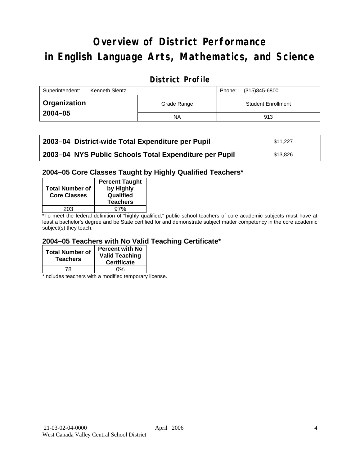# **Overview of District Performance in English Language Arts, Mathematics, and Science**

# **District Profile**

| Superintendent:<br>Kenneth Slentz |             | (315)845-6800<br>Phone:   |
|-----------------------------------|-------------|---------------------------|
| Organization                      | Grade Range | <b>Student Enrollment</b> |
| $2004 - 05$                       | NA          | 913                       |

| 2003-04 District-wide Total Expenditure per Pupil      | \$11.227 |
|--------------------------------------------------------|----------|
| 2003-04 NYS Public Schools Total Expenditure per Pupil | \$13.826 |

### **2004–05 Core Classes Taught by Highly Qualified Teachers\***

| <b>Total Number of</b><br><b>Core Classes</b> | <b>Percent Taught</b><br>by Highly<br>Qualified<br><b>Teachers</b> |
|-----------------------------------------------|--------------------------------------------------------------------|
| 203                                           | 97%                                                                |
|                                               |                                                                    |

\*To meet the federal definition of "highly qualified," public school teachers of core academic subjects must have at least a bachelor's degree and be State certified for and demonstrate subject matter competency in the core academic subject(s) they teach.

### **2004–05 Teachers with No Valid Teaching Certificate\***

| <b>Total Number of</b><br><b>Teachers</b> | <b>Percent with No</b><br><b>Valid Teaching</b><br><b>Certificate</b> |
|-------------------------------------------|-----------------------------------------------------------------------|
| 78                                        | ሰ%                                                                    |

\*Includes teachers with a modified temporary license.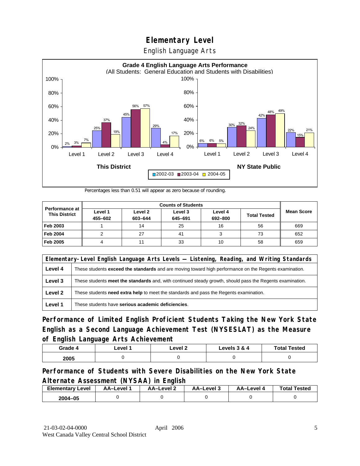English Language Arts



Percentages less than 0.51 will appear as zero because of rounding.

|                                               | <b>Counts of Students</b> |                    |                    |                    |                     |                   |
|-----------------------------------------------|---------------------------|--------------------|--------------------|--------------------|---------------------|-------------------|
| <b>Performance at</b><br><b>This District</b> | Level 1<br>455-602        | Level 2<br>603-644 | Level 3<br>645-691 | Level 4<br>692-800 | <b>Total Tested</b> | <b>Mean Score</b> |
|                                               |                           |                    |                    |                    |                     |                   |
| Feb 2003                                      |                           | 14                 | 25                 | 16                 | 56                  | 669               |
| <b>Feb 2004</b>                               |                           | 27                 | 41                 |                    | 73                  | 652               |
| Feb 2005                                      |                           |                    | 33                 | 10                 | 58                  | 659               |

|         | Elementary-Level English Language Arts Levels — Listening, Reading, and Writing Standards                 |  |  |  |  |
|---------|-----------------------------------------------------------------------------------------------------------|--|--|--|--|
| Level 4 | These students exceed the standards and are moving toward high performance on the Regents examination.    |  |  |  |  |
| Level 3 | These students meet the standards and, with continued steady growth, should pass the Regents examination. |  |  |  |  |
| Level 2 | These students need extra help to meet the standards and pass the Regents examination.                    |  |  |  |  |
| Level 1 | These students have serious academic deficiencies.                                                        |  |  |  |  |

**Performance of Limited English Proficient Students Taking the New York State English as a Second Language Achievement Test (NYSESLAT) as the Measure of English Language Arts Achievement**

| Grade 4 | ∟evel <sup>≁</sup> | Level 2 | Levels 3 & 4 | <b>Total Tested</b> |
|---------|--------------------|---------|--------------|---------------------|
| 2005    |                    |         |              |                     |

### **Performance of Students with Severe Disabilities on the New York State Alternate Assessment (NYSAA) in English**

| <b>Elementary Level</b> | AA-Level | <b>AA-Level 2</b> | AA-Level 3 | AA–Level | <b>Total Tested</b> |
|-------------------------|----------|-------------------|------------|----------|---------------------|
| 2004-05                 |          |                   |            |          |                     |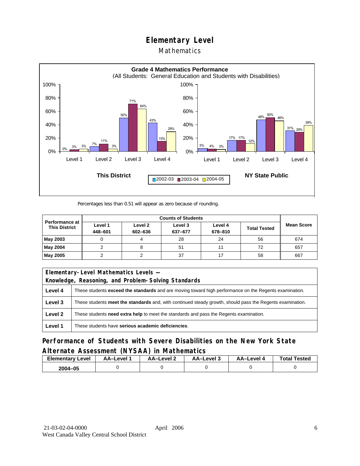### Mathematics



Percentages less than 0.51 will appear as zero because of rounding.

|                                               | <b>Counts of Students</b> |                    |                    |                    |                     |                   |
|-----------------------------------------------|---------------------------|--------------------|--------------------|--------------------|---------------------|-------------------|
| <b>Performance at</b><br><b>This District</b> | Level 1<br>448-601        | Level 2<br>602-636 | Level 3<br>637-677 | Level 4<br>678-810 | <b>Total Tested</b> | <b>Mean Score</b> |
| May 2003                                      |                           |                    | 28                 | 24                 | 56                  | 674               |
| May 2004                                      |                           |                    | 51                 | 11                 | 72                  | 657               |
| May 2005                                      |                           |                    | 37                 |                    | 58                  | 667               |

| Elementary-Level Mathematics Levels - |                                                                                                               |  |  |  |
|---------------------------------------|---------------------------------------------------------------------------------------------------------------|--|--|--|
|                                       | Knowledge, Reasoning, and Problem-Solving Standards                                                           |  |  |  |
| Level 4                               | These students <b>exceed the standards</b> and are moving toward high performance on the Regents examination. |  |  |  |
| Level 3                               | These students meet the standards and, with continued steady growth, should pass the Regents examination.     |  |  |  |
| Level 2                               | These students <b>need extra help</b> to meet the standards and pass the Regents examination.                 |  |  |  |
| Level 1                               | These students have serious academic deficiencies.                                                            |  |  |  |

**Performance of Students with Severe Disabilities on the New York State Alternate Assessment (NYSAA) in Mathematics** 

| <b>Elementary</b><br>Level | AA-Level | AA-Level 2 | AA-Level 3 | AA-Level 4 | <b>Total Tested</b> |
|----------------------------|----------|------------|------------|------------|---------------------|
| 2004-05                    |          |            |            |            |                     |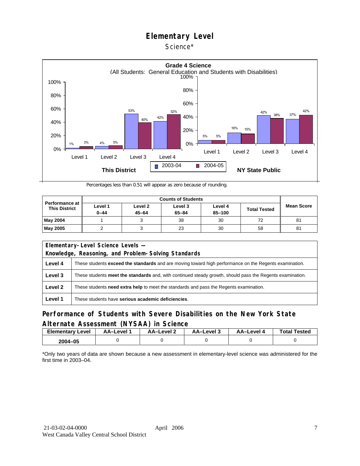### Science\*



Percentages less than 0.51 will appear as zero because of rounding.

|                                               |                     | <b>Counts of Students</b> |                      |                   |                     |                   |  |  |
|-----------------------------------------------|---------------------|---------------------------|----------------------|-------------------|---------------------|-------------------|--|--|
| <b>Performance at</b><br><b>This District</b> | Level 1<br>$0 - 44$ | Level 2<br>$45 - 64$      | Level 3<br>$65 - 84$ | Level 4<br>85-100 | <b>Total Tested</b> | <b>Mean Score</b> |  |  |
| <b>May 2004</b>                               |                     |                           | 38                   | 30                | 72                  | 81                |  |  |
| <b>May 2005</b>                               |                     |                           | 23                   | 30                | 58                  | 81                |  |  |

|                                                     | Elementary-Level Science Levels -                                                                             |  |  |  |  |
|-----------------------------------------------------|---------------------------------------------------------------------------------------------------------------|--|--|--|--|
| Knowledge, Reasoning, and Problem-Solving Standards |                                                                                                               |  |  |  |  |
| Level 4                                             | These students <b>exceed the standards</b> and are moving toward high performance on the Regents examination. |  |  |  |  |
| Level 3                                             | These students meet the standards and, with continued steady growth, should pass the Regents examination.     |  |  |  |  |
| Level 2                                             | These students <b>need extra help</b> to meet the standards and pass the Regents examination.                 |  |  |  |  |
| Level 1                                             | These students have serious academic deficiencies.                                                            |  |  |  |  |

### **Performance of Students with Severe Disabilities on the New York State Alternate Assessment (NYSAA) in Science**

| <b>Elementary Level</b> | <b>AA-Level</b> 1 | – AA–Level | ة AA–Level | AA–Level 4 | <b>Total Tested</b> |
|-------------------------|-------------------|------------|------------|------------|---------------------|
| 2004-05                 |                   |            |            |            |                     |

\*Only two years of data are shown because a new assessment in elementary-level science was administered for the first time in 2003–04.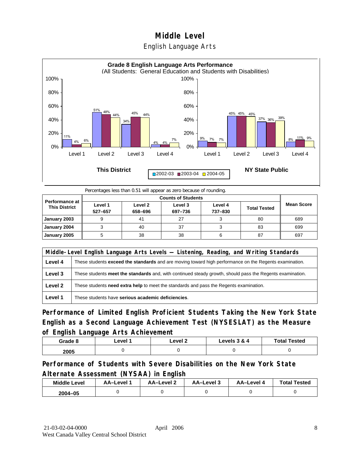



Percentages less than 0.51 will appear as zero because of rounding.

| <b>Performance at</b><br><b>This District</b> | Level 1<br>527-657 | Level 2<br>658-696 | Level 3<br>697-736 | Level 4<br>737-830 | <b>Total Tested</b> | <b>Mean Score</b> |
|-----------------------------------------------|--------------------|--------------------|--------------------|--------------------|---------------------|-------------------|
| January 2003                                  |                    | 41                 | 27                 |                    | 80                  | 689               |
| January 2004                                  |                    | 40                 | 37                 |                    | 83                  | 699               |
| January 2005                                  |                    | 38                 | 38                 |                    | 87                  | 697               |

|         | Middle-Level English Language Arts Levels — Listening, Reading, and Writing Standards                     |  |  |  |  |
|---------|-----------------------------------------------------------------------------------------------------------|--|--|--|--|
| Level 4 | These students exceed the standards and are moving toward high performance on the Regents examination.    |  |  |  |  |
| Level 3 | These students meet the standards and, with continued steady growth, should pass the Regents examination. |  |  |  |  |
| Level 2 | These students <b>need extra help</b> to meet the standards and pass the Regents examination.             |  |  |  |  |
| Level 1 | These students have serious academic deficiencies.                                                        |  |  |  |  |

**Performance of Limited English Proficient Students Taking the New York State English as a Second Language Achievement Test (NYSESLAT) as the Measure of English Language Arts Achievement**

| Grade 8 | ∟evel <i>*</i> | _evel 2 | Levels 3 & 4 | <b>Total Tested</b> |
|---------|----------------|---------|--------------|---------------------|
| 2005    |                |         |              |                     |

**Performance of Students with Severe Disabilities on the New York State Alternate Assessment (NYSAA) in English** 

| <b>Middle Level</b> | AA–Level | AA-Level 2 | AA-Level 3 | AA-Level 4 | <b>Total Tested</b> |
|---------------------|----------|------------|------------|------------|---------------------|
| 2004-05             |          |            |            |            |                     |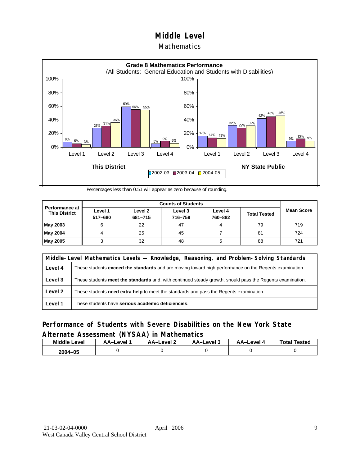### **Mathematics**



Percentages less than 0.51 will appear as zero because of rounding.

|                                               |                    | <b>Counts of Students</b> |                    |                    |                     |                   |  |  |  |
|-----------------------------------------------|--------------------|---------------------------|--------------------|--------------------|---------------------|-------------------|--|--|--|
| <b>Performance at</b><br><b>This District</b> | Level 1<br>517-680 | Level 2<br>681-715        | Level 3<br>716-759 | Level 4<br>760-882 | <b>Total Tested</b> | <b>Mean Score</b> |  |  |  |
| May 2003                                      |                    | 22                        | 47                 |                    | 79                  | 719               |  |  |  |
| May 2004                                      |                    | 25                        | 45                 |                    | 81                  | 724               |  |  |  |
| May 2005                                      |                    | 32                        | 48                 |                    | 88                  | 721               |  |  |  |

|         | Middle-Level Mathematics Levels — Knowledge, Reasoning, and Problem-Solving Standards                         |  |  |  |  |
|---------|---------------------------------------------------------------------------------------------------------------|--|--|--|--|
| Level 4 | These students <b>exceed the standards</b> and are moving toward high performance on the Regents examination. |  |  |  |  |
| Level 3 | These students meet the standards and, with continued steady growth, should pass the Regents examination.     |  |  |  |  |
| Level 2 | These students need extra help to meet the standards and pass the Regents examination.                        |  |  |  |  |
| Level 1 | These students have serious academic deficiencies.                                                            |  |  |  |  |

### **Performance of Students with Severe Disabilities on the New York State Alternate Assessment (NYSAA) in Mathematics**

| <b>Middle Level</b> | AA-Level | AA-Level 2 | AA-Level 3 | AA-Level 4 | <b>Total Tested</b> |
|---------------------|----------|------------|------------|------------|---------------------|
| 2004-05             |          |            |            |            |                     |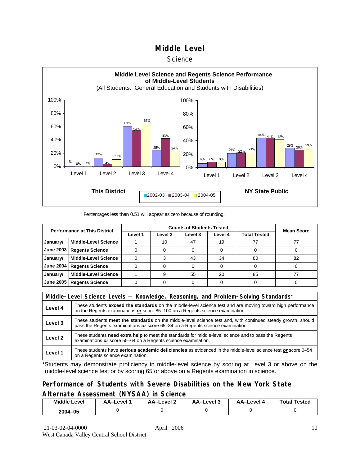#### **Science**



#### Percentages less than 0.51 will appear as zero because of rounding.

| <b>Performance at This District</b> |                             |         | <b>Mean Score</b>  |         |         |              |    |
|-------------------------------------|-----------------------------|---------|--------------------|---------|---------|--------------|----|
|                                     |                             | Level 1 | Level <sub>2</sub> | Level 3 | Level 4 | Total Tested |    |
| January/                            | <b>Middle-Level Science</b> |         | 10                 | 47      | 19      |              |    |
| <b>June 2003</b>                    | <b>Regents Science</b>      |         |                    |         |         |              |    |
| January/                            | <b>Middle-Level Science</b> |         |                    | 43      | 34      | 80           | 82 |
| <b>June 2004</b>                    | <b>Regents Science</b>      |         |                    |         |         |              |    |
| January/                            | <b>Middle-Level Science</b> |         |                    | 55      | 20      | 85           |    |
| <b>June 2005</b>                    | <b>Regents Science</b>      |         |                    |         |         |              |    |

|                    | Middle-Level Science Levels — Knowledge, Reasoning, and Problem-Solving Standards*                                                                                                             |  |  |  |  |
|--------------------|------------------------------------------------------------------------------------------------------------------------------------------------------------------------------------------------|--|--|--|--|
| Level 4            | These students exceed the standards on the middle-level science test and are moving toward high performance<br>on the Regents examinations or score 85-100 on a Regents science examination.   |  |  |  |  |
| Level 3            | These students meet the standards on the middle-level science test and, with continued steady growth, should<br>pass the Regents examinations or score 65–84 on a Regents science examination. |  |  |  |  |
| Level <sub>2</sub> | These students need extra help to meet the standards for middle-level science and to pass the Regents<br>examinations or score 55-64 on a Regents science examination.                         |  |  |  |  |
| Level 1            | These students have serious academic deficiencies as evidenced in the middle-level science test or score 0–54<br>on a Regents science examination.                                             |  |  |  |  |

\*Students may demonstrate proficiency in middle-level science by scoring at Level 3 or above on the middle-level science test or by scoring 65 or above on a Regents examination in science.

### **Performance of Students with Severe Disabilities on the New York State Alternate Assessment (NYSAA) in Science**

| <b>Middle Level</b> | AA–Level | AA–Level 2 | AA-Level 3 | AA–Level | <b>Tested</b><br>Total. |
|---------------------|----------|------------|------------|----------|-------------------------|
| 2004-05             |          |            |            |          |                         |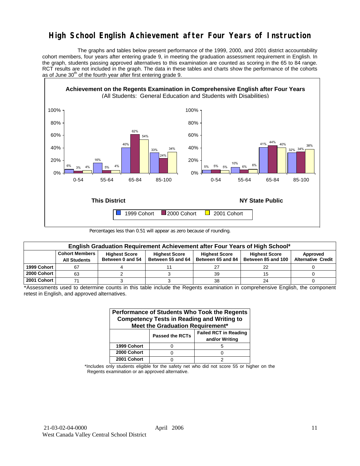# **High School English Achievement after Four Years of Instruction**

 The graphs and tables below present performance of the 1999, 2000, and 2001 district accountability cohort members, four years after entering grade 9, in meeting the graduation assessment requirement in English. In the graph, students passing approved alternatives to this examination are counted as scoring in the 65 to 84 range. RCT results are not included in the graph. The data in these tables and charts show the performance of the cohorts as of June  $30<sup>th</sup>$  of the fourth year after first entering grade 9.



Percentages less than 0.51 will appear as zero because of rounding.

|             | English Graduation Requirement Achievement after Four Years of High School* |                                          |                                           |                                           |                                            |                                       |  |  |  |  |  |  |
|-------------|-----------------------------------------------------------------------------|------------------------------------------|-------------------------------------------|-------------------------------------------|--------------------------------------------|---------------------------------------|--|--|--|--|--|--|
|             | <b>Cohort Members</b><br><b>All Students</b>                                | <b>Highest Score</b><br>Between 0 and 54 | <b>Highest Score</b><br>Between 55 and 64 | <b>Highest Score</b><br>Between 65 and 84 | <b>Highest Score</b><br>Between 85 and 100 | Approved<br><b>Alternative Credit</b> |  |  |  |  |  |  |
| 1999 Cohort | 67                                                                          |                                          |                                           | 27                                        | 22                                         |                                       |  |  |  |  |  |  |
| 2000 Cohort | 63                                                                          |                                          |                                           | 39                                        | 15                                         |                                       |  |  |  |  |  |  |
| 2001 Cohort |                                                                             |                                          |                                           | 38                                        | 24                                         |                                       |  |  |  |  |  |  |

\*Assessments used to determine counts in this table include the Regents examination in comprehensive English, the component retest in English, and approved alternatives.

| Performance of Students Who Took the Regents<br><b>Competency Tests in Reading and Writing to</b><br>Meet the Graduation Requirement* |                        |                                                |  |  |  |  |  |  |  |
|---------------------------------------------------------------------------------------------------------------------------------------|------------------------|------------------------------------------------|--|--|--|--|--|--|--|
|                                                                                                                                       | <b>Passed the RCTs</b> | <b>Failed RCT in Reading</b><br>and/or Writing |  |  |  |  |  |  |  |
| 1999 Cohort                                                                                                                           |                        |                                                |  |  |  |  |  |  |  |
| 2000 Cohort                                                                                                                           |                        |                                                |  |  |  |  |  |  |  |
| 2001 Cohort                                                                                                                           |                        |                                                |  |  |  |  |  |  |  |

\*Includes only students eligible for the safety net who did not score 55 or higher on the Regents examination or an approved alternative.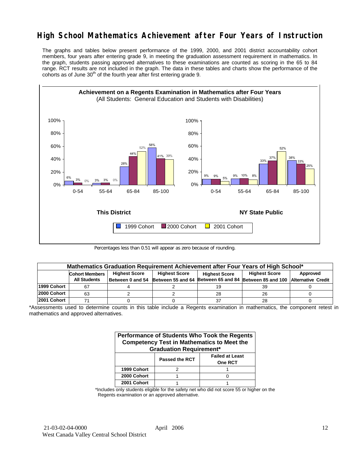# **High School Mathematics Achievement after Four Years of Instruction**

The graphs and tables below present performance of the 1999, 2000, and 2001 district accountability cohort members, four years after entering grade 9, in meeting the graduation assessment requirement in mathematics. In the graph, students passing approved alternatives to these examinations are counted as scoring in the 65 to 84 range. RCT results are not included in the graph. The data in these tables and charts show the performance of the cohorts as of June  $30<sup>th</sup>$  of the fourth year after first entering grade 9.



Percentages less than 0.51 will appear as zero because of rounding.

|             | Mathematics Graduation Requirement Achievement after Four Years of High School* |  |                      |                      |                                                                                            |          |  |  |  |  |  |
|-------------|---------------------------------------------------------------------------------|--|----------------------|----------------------|--------------------------------------------------------------------------------------------|----------|--|--|--|--|--|
|             | <b>Highest Score</b><br><b>Cohort Members</b>                                   |  | <b>Highest Score</b> | <b>Highest Score</b> |                                                                                            | Approved |  |  |  |  |  |
|             | <b>All Students</b>                                                             |  |                      |                      | Between 0 and 54 Between 55 and 64 Between 65 and 84 Between 85 and 100 Alternative Credit |          |  |  |  |  |  |
| 1999 Cohort |                                                                                 |  |                      | 19                   | 39                                                                                         |          |  |  |  |  |  |
| 2000 Cohort | 63                                                                              |  |                      | 28                   | 26                                                                                         |          |  |  |  |  |  |
| 2001 Cohort |                                                                                 |  |                      | 37                   | 28                                                                                         |          |  |  |  |  |  |

\*Assessments used to determine counts in this table include a Regents examination in mathematics, the component retest in mathematics and approved alternatives.

| Performance of Students Who Took the Regents<br><b>Competency Test in Mathematics to Meet the</b><br><b>Graduation Requirement*</b> |                       |                                          |  |  |  |  |  |  |
|-------------------------------------------------------------------------------------------------------------------------------------|-----------------------|------------------------------------------|--|--|--|--|--|--|
|                                                                                                                                     | <b>Passed the RCT</b> | <b>Failed at Least</b><br><b>One RCT</b> |  |  |  |  |  |  |
| 1999 Cohort                                                                                                                         |                       |                                          |  |  |  |  |  |  |
| 2000 Cohort                                                                                                                         |                       |                                          |  |  |  |  |  |  |
| 2001 Cohort                                                                                                                         |                       |                                          |  |  |  |  |  |  |

\*Includes only students eligible for the safety net who did not score 55 or higher on the Regents examination or an approved alternative.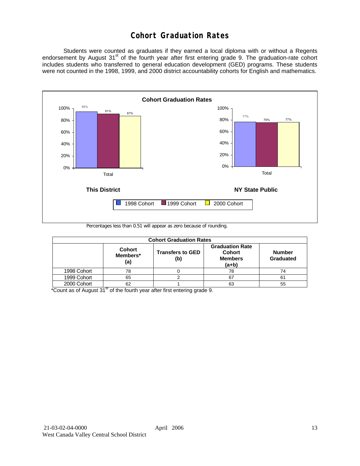# **Cohort Graduation Rates**

 Students were counted as graduates if they earned a local diploma with or without a Regents endorsement by August 31<sup>st</sup> of the fourth year after first entering grade 9. The graduation-rate cohort includes students who transferred to general education development (GED) programs. These students were not counted in the 1998, 1999, and 2000 district accountability cohorts for English and mathematics.



Percentages less than 0.51 will appear as zero because of rounding.

|             | <b>Cohort Graduation Rates</b>   |                                |                                                                      |                            |  |  |  |  |  |  |  |
|-------------|----------------------------------|--------------------------------|----------------------------------------------------------------------|----------------------------|--|--|--|--|--|--|--|
|             | <b>Cohort</b><br>Members*<br>(a) | <b>Transfers to GED</b><br>(b) | <b>Graduation Rate</b><br><b>Cohort</b><br><b>Members</b><br>$(a+b)$ | <b>Number</b><br>Graduated |  |  |  |  |  |  |  |
| 1998 Cohort | 78                               |                                | 78                                                                   | 74                         |  |  |  |  |  |  |  |
| 1999 Cohort | 65                               |                                | 67                                                                   | 61                         |  |  |  |  |  |  |  |
| 2000 Cohort | 62                               |                                | 63                                                                   | 55                         |  |  |  |  |  |  |  |

 $*$ Count as of August 31 $*$  of the fourth year after first entering grade 9.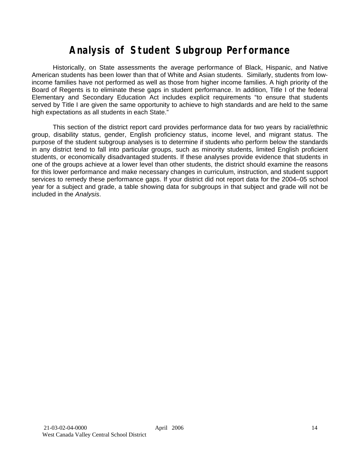# **Analysis of Student Subgroup Performance**

Historically, on State assessments the average performance of Black, Hispanic, and Native American students has been lower than that of White and Asian students. Similarly, students from lowincome families have not performed as well as those from higher income families. A high priority of the Board of Regents is to eliminate these gaps in student performance. In addition, Title I of the federal Elementary and Secondary Education Act includes explicit requirements "to ensure that students served by Title I are given the same opportunity to achieve to high standards and are held to the same high expectations as all students in each State."

This section of the district report card provides performance data for two years by racial/ethnic group, disability status, gender, English proficiency status, income level, and migrant status. The purpose of the student subgroup analyses is to determine if students who perform below the standards in any district tend to fall into particular groups, such as minority students, limited English proficient students, or economically disadvantaged students. If these analyses provide evidence that students in one of the groups achieve at a lower level than other students, the district should examine the reasons for this lower performance and make necessary changes in curriculum, instruction, and student support services to remedy these performance gaps. If your district did not report data for the 2004–05 school year for a subject and grade, a table showing data for subgroups in that subject and grade will not be included in the *Analysis*.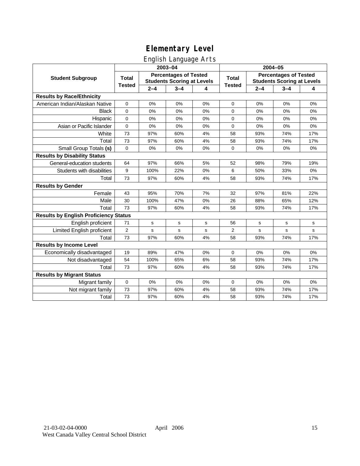# English Language Arts

|                                              |                |         | 2003-04                                                           |    | 2004-05        |         |                                                                   |     |  |
|----------------------------------------------|----------------|---------|-------------------------------------------------------------------|----|----------------|---------|-------------------------------------------------------------------|-----|--|
| <b>Student Subgroup</b>                      | <b>Total</b>   |         | <b>Percentages of Tested</b><br><b>Students Scoring at Levels</b> |    | <b>Total</b>   |         | <b>Percentages of Tested</b><br><b>Students Scoring at Levels</b> |     |  |
|                                              | <b>Tested</b>  | $2 - 4$ | $3 - 4$                                                           | 4  | <b>Tested</b>  | $2 - 4$ | $3 - 4$                                                           | 4   |  |
| <b>Results by Race/Ethnicity</b>             |                |         |                                                                   |    |                |         |                                                                   |     |  |
| American Indian/Alaskan Native               | $\mathbf 0$    | 0%      | 0%                                                                | 0% | $\mathbf 0$    | 0%      | 0%                                                                | 0%  |  |
| <b>Black</b>                                 | $\mathbf 0$    | 0%      | 0%                                                                | 0% | $\Omega$       | 0%      | 0%                                                                | 0%  |  |
| Hispanic                                     | $\mathbf 0$    | 0%      | 0%                                                                | 0% | 0              | 0%      | 0%                                                                | 0%  |  |
| Asian or Pacific Islander                    | $\mathbf 0$    | 0%      | 0%                                                                | 0% | 0              | 0%      | 0%                                                                | 0%  |  |
| White                                        | 73             | 97%     | 60%                                                               | 4% | 58             | 93%     | 74%                                                               | 17% |  |
| Total                                        | 73             | 97%     | 60%                                                               | 4% | 58             | 93%     | 74%                                                               | 17% |  |
| Small Group Totals (s)                       | $\mathbf 0$    | 0%      | 0%                                                                | 0% | $\Omega$       | 0%      | 0%                                                                | 0%  |  |
| <b>Results by Disability Status</b>          |                |         |                                                                   |    |                |         |                                                                   |     |  |
| General-education students                   | 64             | 97%     | 66%                                                               | 5% | 52             | 98%     | 79%                                                               | 19% |  |
| Students with disabilities                   | 9              | 100%    | 22%                                                               | 0% | 6              | 50%     | 33%                                                               | 0%  |  |
| Total                                        | 73             | 97%     | 60%                                                               | 4% | 58             | 93%     | 74%                                                               | 17% |  |
| <b>Results by Gender</b>                     |                |         |                                                                   |    |                |         |                                                                   |     |  |
| Female                                       | 43             | 95%     | 70%                                                               | 7% | 32             | 97%     | 81%                                                               | 22% |  |
| Male                                         | 30             | 100%    | 47%                                                               | 0% | 26             | 88%     | 65%                                                               | 12% |  |
| Total                                        | 73             | 97%     | 60%                                                               | 4% | 58             | 93%     | 74%                                                               | 17% |  |
| <b>Results by English Proficiency Status</b> |                |         |                                                                   |    |                |         |                                                                   |     |  |
| English proficient                           | 71             | s       | s                                                                 | s  | 56             | s       | s                                                                 | s   |  |
| Limited English proficient                   | $\overline{2}$ | s       | $\mathbf s$                                                       | s  | $\overline{2}$ | s       | s                                                                 | s   |  |
| Total                                        | 73             | 97%     | 60%                                                               | 4% | 58             | 93%     | 74%                                                               | 17% |  |
| <b>Results by Income Level</b>               |                |         |                                                                   |    |                |         |                                                                   |     |  |
| Economically disadvantaged                   | 19             | 89%     | 47%                                                               | 0% | 0              | 0%      | 0%                                                                | 0%  |  |
| Not disadvantaged                            | 54             | 100%    | 65%                                                               | 6% | 58             | 93%     | 74%                                                               | 17% |  |
| Total                                        | 73             | 97%     | 60%                                                               | 4% | 58             | 93%     | 74%                                                               | 17% |  |
| <b>Results by Migrant Status</b>             |                |         |                                                                   |    |                |         |                                                                   |     |  |
| Migrant family                               | $\mathbf 0$    | 0%      | 0%                                                                | 0% | 0              | 0%      | 0%                                                                | 0%  |  |
| Not migrant family                           | 73             | 97%     | 60%                                                               | 4% | 58             | 93%     | 74%                                                               | 17% |  |
| Total                                        | 73             | 97%     | 60%                                                               | 4% | 58             | 93%     | 74%                                                               | 17% |  |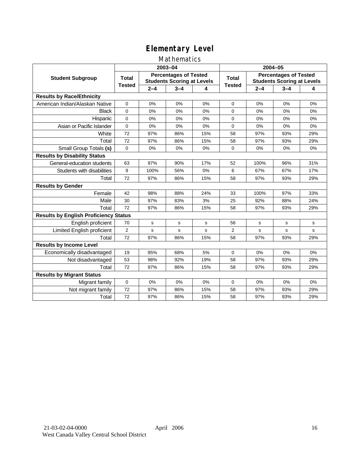### Mathematics

|                                              |                |             | 2003-04                                                           |     | 2004-05        |         |                                                                   |             |
|----------------------------------------------|----------------|-------------|-------------------------------------------------------------------|-----|----------------|---------|-------------------------------------------------------------------|-------------|
| <b>Student Subgroup</b>                      | <b>Total</b>   |             | <b>Percentages of Tested</b><br><b>Students Scoring at Levels</b> |     | Total          |         | <b>Percentages of Tested</b><br><b>Students Scoring at Levels</b> |             |
|                                              | <b>Tested</b>  | $2 - 4$     | $3 - 4$                                                           | 4   | <b>Tested</b>  | $2 - 4$ | $3 - 4$                                                           | 4           |
| <b>Results by Race/Ethnicity</b>             |                |             |                                                                   |     |                |         |                                                                   |             |
| American Indian/Alaskan Native               | $\mathbf{0}$   | 0%          | 0%                                                                | 0%  | $\mathbf 0$    | 0%      | 0%                                                                | 0%          |
| <b>Black</b>                                 | $\Omega$       | 0%          | 0%                                                                | 0%  | $\Omega$       | 0%      | 0%                                                                | 0%          |
| Hispanic                                     | $\Omega$       | 0%          | 0%                                                                | 0%  | $\mathbf 0$    | 0%      | 0%                                                                | 0%          |
| Asian or Pacific Islander                    | $\mathbf{0}$   | 0%          | 0%                                                                | 0%  | $\mathbf 0$    | 0%      | 0%                                                                | 0%          |
| White                                        | 72             | 97%         | 86%                                                               | 15% | 58             | 97%     | 93%                                                               | 29%         |
| Total                                        | 72             | 97%         | 86%                                                               | 15% | 58             | 97%     | 93%                                                               | 29%         |
| Small Group Totals (s)                       | $\mathbf 0$    | 0%          | 0%                                                                | 0%  | 0              | 0%      | 0%                                                                | 0%          |
| <b>Results by Disability Status</b>          |                |             |                                                                   |     |                |         |                                                                   |             |
| General-education students                   | 63             | 97%         | 90%                                                               | 17% | 52             | 100%    | 96%                                                               | 31%         |
| Students with disabilities                   | 9              | 100%        | 56%                                                               | 0%  | 6              | 67%     | 67%                                                               | 17%         |
| Total                                        | 72             | 97%         | 86%                                                               | 15% | 58             | 97%     | 93%                                                               | 29%         |
| <b>Results by Gender</b>                     |                |             |                                                                   |     |                |         |                                                                   |             |
| Female                                       | 42             | 98%         | 88%                                                               | 24% | 33             | 100%    | 97%                                                               | 33%         |
| Male                                         | 30             | 97%         | 83%                                                               | 3%  | 25             | 92%     | 88%                                                               | 24%         |
| Total                                        | 72             | 97%         | 86%                                                               | 15% | 58             | 97%     | 93%                                                               | 29%         |
| <b>Results by English Proficiency Status</b> |                |             |                                                                   |     |                |         |                                                                   |             |
| English proficient                           | 70             | $\mathbf s$ | $\mathbf s$                                                       | s   | 56             | s       | $\mathbf s$                                                       | $\mathbf s$ |
| Limited English proficient                   | $\overline{2}$ | s           | s                                                                 | s   | $\overline{2}$ | s       | s                                                                 | s           |
| Total                                        | 72             | 97%         | 86%                                                               | 15% | 58             | 97%     | 93%                                                               | 29%         |
| <b>Results by Income Level</b>               |                |             |                                                                   |     |                |         |                                                                   |             |
| Economically disadvantaged                   | 19             | 95%         | 68%                                                               | 5%  | $\mathbf 0$    | 0%      | 0%                                                                | 0%          |
| Not disadvantaged                            | 53             | 98%         | 92%                                                               | 19% | 58             | 97%     | 93%                                                               | 29%         |
| Total                                        | 72             | 97%         | 86%                                                               | 15% | 58             | 97%     | 93%                                                               | 29%         |
| <b>Results by Migrant Status</b>             |                |             |                                                                   |     |                |         |                                                                   |             |
| Migrant family                               | 0              | 0%          | 0%                                                                | 0%  | 0              | 0%      | 0%                                                                | 0%          |
| Not migrant family                           | 72             | 97%         | 86%                                                               | 15% | 58             | 97%     | 93%                                                               | 29%         |
| Total                                        | 72             | 97%         | 86%                                                               | 15% | 58             | 97%     | 93%                                                               | 29%         |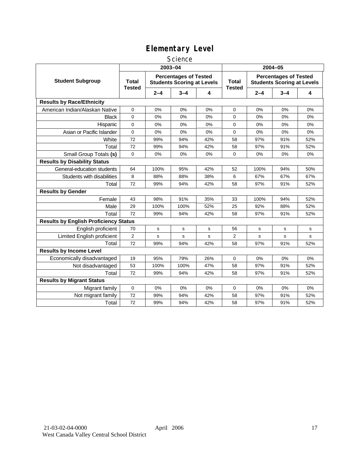### **Science**

|                                              | 2003-04                       |         |                                                                   |     | 2004-05                       |         |                                                                   |     |
|----------------------------------------------|-------------------------------|---------|-------------------------------------------------------------------|-----|-------------------------------|---------|-------------------------------------------------------------------|-----|
| <b>Student Subgroup</b>                      | <b>Total</b><br><b>Tested</b> |         | <b>Percentages of Tested</b><br><b>Students Scoring at Levels</b> |     | <b>Total</b><br><b>Tested</b> |         | <b>Percentages of Tested</b><br><b>Students Scoring at Levels</b> |     |
|                                              |                               | $2 - 4$ | $3 - 4$                                                           | 4   |                               | $2 - 4$ | $3 - 4$                                                           | 4   |
| <b>Results by Race/Ethnicity</b>             |                               |         |                                                                   |     |                               |         |                                                                   |     |
| American Indian/Alaskan Native               | 0                             | 0%      | 0%                                                                | 0%  | 0                             | 0%      | 0%                                                                | 0%  |
| <b>Black</b>                                 | $\Omega$                      | 0%      | 0%                                                                | 0%  | $\Omega$                      | 0%      | 0%                                                                | 0%  |
| Hispanic                                     | 0                             | 0%      | 0%                                                                | 0%  | $\mathbf 0$                   | 0%      | 0%                                                                | 0%  |
| Asian or Pacific Islander                    | $\mathbf 0$                   | 0%      | 0%                                                                | 0%  | 0                             | 0%      | 0%                                                                | 0%  |
| White                                        | 72                            | 99%     | 94%                                                               | 42% | 58                            | 97%     | 91%                                                               | 52% |
| Total                                        | 72                            | 99%     | 94%                                                               | 42% | 58                            | 97%     | 91%                                                               | 52% |
| Small Group Totals (s)                       | 0                             | 0%      | 0%                                                                | 0%  | $\mathbf 0$                   | 0%      | 0%                                                                | 0%  |
| <b>Results by Disability Status</b>          |                               |         |                                                                   |     |                               |         |                                                                   |     |
| General-education students                   | 64                            | 100%    | 95%                                                               | 42% | 52                            | 100%    | 94%                                                               | 50% |
| Students with disabilities                   | 8                             | 88%     | 88%                                                               | 38% | 6                             | 67%     | 67%                                                               | 67% |
| Total                                        | 72                            | 99%     | 94%                                                               | 42% | 58                            | 97%     | 91%                                                               | 52% |
| <b>Results by Gender</b>                     |                               |         |                                                                   |     |                               |         |                                                                   |     |
| Female                                       | 43                            | 98%     | 91%                                                               | 35% | 33                            | 100%    | 94%                                                               | 52% |
| Male                                         | 29                            | 100%    | 100%                                                              | 52% | 25                            | 92%     | 88%                                                               | 52% |
| Total                                        | 72                            | 99%     | 94%                                                               | 42% | 58                            | 97%     | 91%                                                               | 52% |
| <b>Results by English Proficiency Status</b> |                               |         |                                                                   |     |                               |         |                                                                   |     |
| English proficient                           | 70                            | s       | s                                                                 | s   | 56                            | s       | s                                                                 | s   |
| Limited English proficient                   | $\overline{2}$                | s       | s                                                                 | s   | 2                             | s       | s                                                                 | s   |
| Total                                        | 72                            | 99%     | 94%                                                               | 42% | 58                            | 97%     | 91%                                                               | 52% |
| <b>Results by Income Level</b>               |                               |         |                                                                   |     |                               |         |                                                                   |     |
| Economically disadvantaged                   | 19                            | 95%     | 79%                                                               | 26% | $\mathbf 0$                   | 0%      | 0%                                                                | 0%  |
| Not disadvantaged                            | 53                            | 100%    | 100%                                                              | 47% | 58                            | 97%     | 91%                                                               | 52% |
| Total                                        | 72                            | 99%     | 94%                                                               | 42% | 58                            | 97%     | 91%                                                               | 52% |
| <b>Results by Migrant Status</b>             |                               |         |                                                                   |     |                               |         |                                                                   |     |
| Migrant family                               | 0                             | 0%      | 0%                                                                | 0%  | $\mathbf 0$                   | 0%      | 0%                                                                | 0%  |
| Not migrant family                           | 72                            | 99%     | 94%                                                               | 42% | 58                            | 97%     | 91%                                                               | 52% |
| Total                                        | 72                            | 99%     | 94%                                                               | 42% | 58                            | 97%     | 91%                                                               | 52% |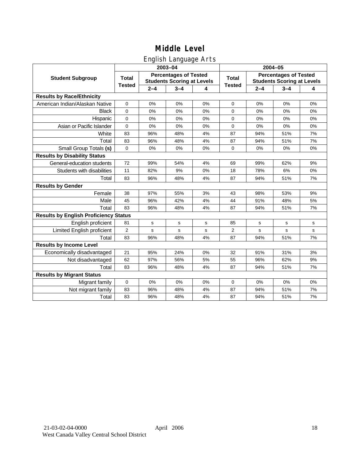# English Language Arts

|                                              |               |             | ັ<br>2003-04                                                      |    | 2004-05       |         |                                                                   |             |  |
|----------------------------------------------|---------------|-------------|-------------------------------------------------------------------|----|---------------|---------|-------------------------------------------------------------------|-------------|--|
| <b>Student Subgroup</b>                      | <b>Total</b>  |             | <b>Percentages of Tested</b><br><b>Students Scoring at Levels</b> |    | <b>Total</b>  |         | <b>Percentages of Tested</b><br><b>Students Scoring at Levels</b> |             |  |
|                                              | <b>Tested</b> | $2 - 4$     | $3 - 4$                                                           | 4  | <b>Tested</b> | $2 - 4$ | $3 - 4$                                                           | 4           |  |
| <b>Results by Race/Ethnicity</b>             |               |             |                                                                   |    |               |         |                                                                   |             |  |
| American Indian/Alaskan Native               | $\mathbf 0$   | 0%          | 0%                                                                | 0% | $\mathbf 0$   | 0%      | 0%                                                                | 0%          |  |
| <b>Black</b>                                 | 0             | 0%          | 0%                                                                | 0% | $\Omega$      | 0%      | 0%                                                                | 0%          |  |
| Hispanic                                     | 0             | 0%          | 0%                                                                | 0% | 0             | 0%      | 0%                                                                | 0%          |  |
| Asian or Pacific Islander                    | $\mathbf 0$   | 0%          | 0%                                                                | 0% | 0             | 0%      | 0%                                                                | 0%          |  |
| White                                        | 83            | 96%         | 48%                                                               | 4% | 87            | 94%     | 51%                                                               | 7%          |  |
| Total                                        | 83            | 96%         | 48%                                                               | 4% | 87            | 94%     | 51%                                                               | 7%          |  |
| Small Group Totals (s)                       | $\mathbf 0$   | 0%          | 0%                                                                | 0% | $\mathbf 0$   | 0%      | 0%                                                                | 0%          |  |
| <b>Results by Disability Status</b>          |               |             |                                                                   |    |               |         |                                                                   |             |  |
| General-education students                   | 72            | 99%         | 54%                                                               | 4% | 69            | 99%     | 62%                                                               | 9%          |  |
| Students with disabilities                   | 11            | 82%         | 9%                                                                | 0% | 18            | 78%     | 6%                                                                | 0%          |  |
| Total                                        | 83            | 96%         | 48%                                                               | 4% | 87            | 94%     | 51%                                                               | 7%          |  |
| <b>Results by Gender</b>                     |               |             |                                                                   |    |               |         |                                                                   |             |  |
| Female                                       | 38            | 97%         | 55%                                                               | 3% | 43            | 98%     | 53%                                                               | 9%          |  |
| Male                                         | 45            | 96%         | 42%                                                               | 4% | 44            | 91%     | 48%                                                               | 5%          |  |
| Total                                        | 83            | 96%         | 48%                                                               | 4% | 87            | 94%     | 51%                                                               | 7%          |  |
| <b>Results by English Proficiency Status</b> |               |             |                                                                   |    |               |         |                                                                   |             |  |
| English proficient                           | 81            | $\mathbf s$ | $\mathbf s$                                                       | s  | 85            | s       | $\mathbf s$                                                       | $\mathbf s$ |  |
| Limited English proficient                   | 2             | s           | $\mathbf s$                                                       | s  | 2             | s       | $\mathbf s$                                                       | $\mathbf s$ |  |
| Total                                        | 83            | 96%         | 48%                                                               | 4% | 87            | 94%     | 51%                                                               | 7%          |  |
| <b>Results by Income Level</b>               |               |             |                                                                   |    |               |         |                                                                   |             |  |
| Economically disadvantaged                   | 21            | 95%         | 24%                                                               | 0% | 32            | 91%     | 31%                                                               | 3%          |  |
| Not disadvantaged                            | 62            | 97%         | 56%                                                               | 5% | 55            | 96%     | 62%                                                               | 9%          |  |
| Total                                        | 83            | 96%         | 48%                                                               | 4% | 87            | 94%     | 51%                                                               | 7%          |  |
| <b>Results by Migrant Status</b>             |               |             |                                                                   |    |               |         |                                                                   |             |  |
| Migrant family                               | $\mathbf 0$   | 0%          | 0%                                                                | 0% | 0             | 0%      | 0%                                                                | 0%          |  |
| Not migrant family                           | 83            | 96%         | 48%                                                               | 4% | 87            | 94%     | 51%                                                               | 7%          |  |
| Total                                        | 83            | 96%         | 48%                                                               | 4% | 87            | 94%     | 51%                                                               | 7%          |  |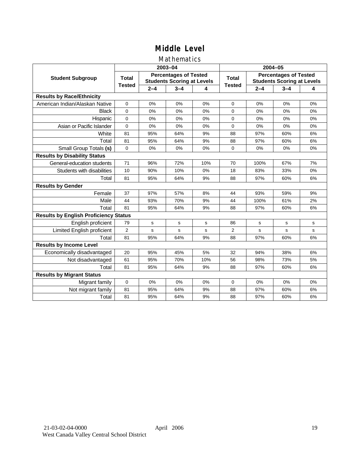### Mathematics

|                                              |                |             | 2003-04                                                           |     | 2004-05        |         |                                                                   |             |  |
|----------------------------------------------|----------------|-------------|-------------------------------------------------------------------|-----|----------------|---------|-------------------------------------------------------------------|-------------|--|
| <b>Student Subgroup</b>                      | <b>Total</b>   |             | <b>Percentages of Tested</b><br><b>Students Scoring at Levels</b> |     | Total          |         | <b>Percentages of Tested</b><br><b>Students Scoring at Levels</b> |             |  |
|                                              | <b>Tested</b>  | $2 - 4$     | $3 - 4$                                                           | 4   | <b>Tested</b>  | $2 - 4$ | $3 - 4$                                                           | 4           |  |
| <b>Results by Race/Ethnicity</b>             |                |             |                                                                   |     |                |         |                                                                   |             |  |
| American Indian/Alaskan Native               | $\mathbf{0}$   | 0%          | 0%                                                                | 0%  | $\mathbf 0$    | 0%      | 0%                                                                | 0%          |  |
| <b>Black</b>                                 | $\Omega$       | 0%          | 0%                                                                | 0%  | $\Omega$       | 0%      | 0%                                                                | 0%          |  |
| Hispanic                                     | $\Omega$       | 0%          | 0%                                                                | 0%  | $\Omega$       | 0%      | 0%                                                                | 0%          |  |
| Asian or Pacific Islander                    | 0              | 0%          | 0%                                                                | 0%  | $\mathbf 0$    | 0%      | 0%                                                                | 0%          |  |
| White                                        | 81             | 95%         | 64%                                                               | 9%  | 88             | 97%     | 60%                                                               | 6%          |  |
| Total                                        | 81             | 95%         | 64%                                                               | 9%  | 88             | 97%     | 60%                                                               | 6%          |  |
| Small Group Totals (s)                       | $\mathbf 0$    | 0%          | 0%                                                                | 0%  | $\mathbf 0$    | 0%      | 0%                                                                | 0%          |  |
| <b>Results by Disability Status</b>          |                |             |                                                                   |     |                |         |                                                                   |             |  |
| General-education students                   | 71             | 96%         | 72%                                                               | 10% | 70             | 100%    | 67%                                                               | 7%          |  |
| Students with disabilities                   | 10             | 90%         | 10%                                                               | 0%  | 18             | 83%     | 33%                                                               | 0%          |  |
| Total                                        | 81             | 95%         | 64%                                                               | 9%  | 88             | 97%     | 60%                                                               | 6%          |  |
| <b>Results by Gender</b>                     |                |             |                                                                   |     |                |         |                                                                   |             |  |
| Female                                       | 37             | 97%         | 57%                                                               | 8%  | 44             | 93%     | 59%                                                               | 9%          |  |
| Male                                         | 44             | 93%         | 70%                                                               | 9%  | 44             | 100%    | 61%                                                               | 2%          |  |
| Total                                        | 81             | 95%         | 64%                                                               | 9%  | 88             | 97%     | 60%                                                               | 6%          |  |
| <b>Results by English Proficiency Status</b> |                |             |                                                                   |     |                |         |                                                                   |             |  |
| English proficient                           | 79             | $\mathbf s$ | $\mathbf s$                                                       | s   | 86             | s       | $\mathbf s$                                                       | $\mathbf s$ |  |
| Limited English proficient                   | $\overline{2}$ | s           | s                                                                 | s   | $\overline{2}$ | s       | s                                                                 | s           |  |
| Total                                        | 81             | 95%         | 64%                                                               | 9%  | 88             | 97%     | 60%                                                               | 6%          |  |
| <b>Results by Income Level</b>               |                |             |                                                                   |     |                |         |                                                                   |             |  |
| Economically disadvantaged                   | 20             | 95%         | 45%                                                               | 5%  | 32             | 94%     | 38%                                                               | 6%          |  |
| Not disadvantaged                            | 61             | 95%         | 70%                                                               | 10% | 56             | 98%     | 73%                                                               | 5%          |  |
| Total                                        | 81             | 95%         | 64%                                                               | 9%  | 88             | 97%     | 60%                                                               | 6%          |  |
| <b>Results by Migrant Status</b>             |                |             |                                                                   |     |                |         |                                                                   |             |  |
| Migrant family                               | 0              | 0%          | 0%                                                                | 0%  | 0              | 0%      | 0%                                                                | 0%          |  |
| Not migrant family                           | 81             | 95%         | 64%                                                               | 9%  | 88             | 97%     | 60%                                                               | 6%          |  |
| Total                                        | 81             | 95%         | 64%                                                               | 9%  | 88             | 97%     | 60%                                                               | 6%          |  |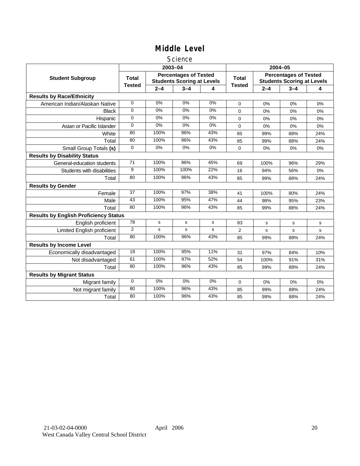### **Science**

|                                              |                 |         | 2003-04                                                           |     | 2004-05       |         |                                                                   |     |
|----------------------------------------------|-----------------|---------|-------------------------------------------------------------------|-----|---------------|---------|-------------------------------------------------------------------|-----|
| <b>Student Subgroup</b>                      | <b>Total</b>    |         | <b>Percentages of Tested</b><br><b>Students Scoring at Levels</b> |     | <b>Total</b>  |         | <b>Percentages of Tested</b><br><b>Students Scoring at Levels</b> |     |
|                                              | <b>Tested</b>   | $2 - 4$ | $3 - 4$                                                           | 4   | <b>Tested</b> | $2 - 4$ | $3 - 4$                                                           | 4   |
| <b>Results by Race/Ethnicity</b>             |                 |         |                                                                   |     |               |         |                                                                   |     |
| American Indian/Alaskan Native               | $\mathbf 0$     | 0%      | 0%                                                                | 0%  | $\Omega$      | 0%      | 0%                                                                | 0%  |
| <b>Black</b>                                 | 0               | 0%      | 0%                                                                | 0%  | $\Omega$      | 0%      | 0%                                                                | 0%  |
| Hispanic                                     | 0               | 0%      | 0%                                                                | 0%  | $\Omega$      | 0%      | 0%                                                                | 0%  |
| Asian or Pacific Islander                    | $\Omega$        | 0%      | 0%                                                                | 0%  | $\mathbf 0$   | 0%      | 0%                                                                | 0%  |
| White                                        | 80              | 100%    | 96%                                                               | 43% | 85            | 99%     | 88%                                                               | 24% |
| Total                                        | 80              | 100%    | 96%                                                               | 43% | 85            | 99%     | 88%                                                               | 24% |
| Small Group Totals (s)                       | $\mathbf 0$     | 0%      | 0%                                                                | 0%  | 0             | 0%      | 0%                                                                | 0%  |
| <b>Results by Disability Status</b>          |                 |         |                                                                   |     |               |         |                                                                   |     |
| General-education students                   | 71              | 100%    | 96%                                                               | 45% | 69            | 100%    | 96%                                                               | 29% |
| Students with disabilities                   | 9               | 100%    | 100%                                                              | 22% | 16            | 94%     | 56%                                                               | 0%  |
| Total                                        | 80              | 100%    | 96%                                                               | 43% | 85            | 99%     | 88%                                                               | 24% |
| <b>Results by Gender</b>                     |                 |         |                                                                   |     |               |         |                                                                   |     |
| Female                                       | $\overline{37}$ | 100%    | 97%                                                               | 38% | 41            | 100%    | 80%                                                               | 24% |
| Male                                         | 43              | 100%    | 95%                                                               | 47% | 44            | 98%     | 95%                                                               | 23% |
| Total                                        | 80              | 100%    | 96%                                                               | 43% | 85            | 99%     | 88%                                                               | 24% |
| <b>Results by English Proficiency Status</b> |                 |         |                                                                   |     |               |         |                                                                   |     |
| English proficient                           | 78              | s       | s                                                                 | s   | 83            | s       | s                                                                 | s   |
| <b>Limited English proficient</b>            | $\overline{2}$  | s       | s                                                                 | s   | 2             | s       | s                                                                 | s   |
| Total                                        | 80              | 100%    | 96%                                                               | 43% | 85            | 99%     | 88%                                                               | 24% |
| <b>Results by Income Level</b>               |                 |         |                                                                   |     |               |         |                                                                   |     |
| Economically disadvantaged                   | 19              | 100%    | 95%                                                               | 11% | 31            | 97%     | 84%                                                               | 10% |
| Not disadvantaged                            | 61              | 100%    | 97%                                                               | 52% | 54            | 100%    | 91%                                                               | 31% |
| Total                                        | 80              | 100%    | 96%                                                               | 43% | 85            | 99%     | 88%                                                               | 24% |
| <b>Results by Migrant Status</b>             |                 |         |                                                                   |     |               |         |                                                                   |     |
| Migrant family                               | 0               | 0%      | 0%                                                                | 0%  | 0             | 0%      | 0%                                                                | 0%  |
| Not migrant family                           | 80              | 100%    | 96%                                                               | 43% | 85            | 99%     | 88%                                                               | 24% |
| Total                                        | 80              | 100%    | 96%                                                               | 43% | 85            | 99%     | 88%                                                               | 24% |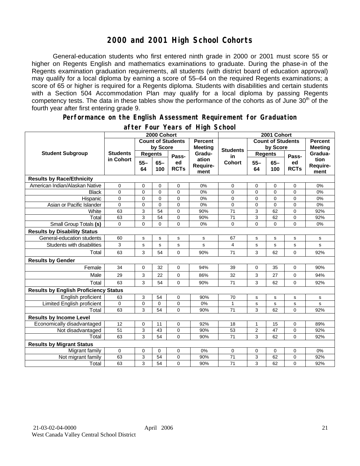# **2000 and 2001 High School Cohorts**

General-education students who first entered ninth grade in 2000 or 2001 must score 55 or higher on Regents English and mathematics examinations to graduate. During the phase-in of the Regents examination graduation requirements, all students (with district board of education approval) may qualify for a local diploma by earning a score of 55–64 on the required Regents examinations; a score of 65 or higher is required for a Regents diploma. Students with disabilities and certain students with a Section 504 Accommodation Plan may qualify for a local diploma by passing Regents competency tests. The data in these tables show the performance of the cohorts as of June 30<sup>th</sup> of the fourth year after first entering grade 9.

#### **Performance on the English Assessment Requirement for Graduation**

|                                              | 2000 Cohort                  |                          |               |                   |                                  | 2001 Cohort              |                |               |                   |                          |
|----------------------------------------------|------------------------------|--------------------------|---------------|-------------------|----------------------------------|--------------------------|----------------|---------------|-------------------|--------------------------|
| <b>Student Subgroup</b>                      |                              | <b>Count of Students</b> |               |                   | <b>Percent</b><br><b>Meeting</b> | <b>Count of Students</b> |                |               |                   | <b>Percent</b>           |
|                                              | <b>Students</b><br>in Cohort | by Score                 |               |                   |                                  | <b>Students</b>          | by Score       |               | <b>Meeting</b>    |                          |
|                                              |                              | <b>Regents</b>           |               | Pass-             | Gradu-                           | in                       | <b>Regents</b> |               | Pass-             | Gradua-                  |
|                                              |                              | $55 -$<br>64             | $65 -$<br>100 | ed<br><b>RCTs</b> | ation<br>Require-<br>ment        | <b>Cohort</b>            | $55 -$<br>64   | $65 -$<br>100 | ed<br><b>RCTs</b> | tion<br>Require-<br>ment |
| <b>Results by Race/Ethnicity</b>             |                              |                          |               |                   |                                  |                          |                |               |                   |                          |
| American Indian/Alaskan Native               | 0                            | 0                        | $\mathbf 0$   | 0                 | 0%                               | 0                        | 0              | $\mathbf 0$   | 0                 | 0%                       |
| <b>Black</b>                                 | $\Omega$                     | $\mathbf{0}$             | $\mathbf{0}$  | $\overline{0}$    | 0%                               | $\Omega$                 | $\mathbf{0}$   | $\Omega$      | $\overline{0}$    | 0%                       |
| Hispanic                                     | 0                            | 0                        | $\mathbf 0$   | 0                 | 0%                               | 0                        | 0              | $\mathbf 0$   | 0                 | 0%                       |
| Asian or Pacific Islander                    | 0                            | $\mathbf 0$              | $\mathbf{0}$  | $\overline{0}$    | 0%                               | 0                        | $\mathbf 0$    | $\Omega$      | $\overline{0}$    | 0%                       |
| White                                        | 63                           | 3                        | 54            | 0                 | 90%                              | $\overline{71}$          | 3              | 62            | 0                 | 92%                      |
| Total                                        | 63                           | $\overline{3}$           | 54            | 0                 | 90%                              | 71                       | 3              | 62            | 0                 | 92%                      |
| Small Group Totals (s)                       | $\Omega$                     | $\mathbf 0$              | $\Omega$      | $\overline{0}$    | 0%                               | 0                        | 0              | $\mathbf 0$   | $\overline{0}$    | 0%                       |
| <b>Results by Disability Status</b>          |                              |                          |               |                   |                                  |                          |                |               |                   |                          |
| General-education students                   | 60                           | s                        | ${\bf s}$     | s                 | s                                | 67                       | s              | s             | s                 | s                        |
| Students with disabilities                   | 3                            | S                        | $\mathbf s$   | s                 | s                                | 4                        | s              | s             | s                 | s                        |
| Total                                        | 63                           | 3                        | 54            | 0                 | 90%                              | 71                       | 3              | 62            | 0                 | 92%                      |
| <b>Results by Gender</b>                     |                              |                          |               |                   |                                  |                          |                |               |                   |                          |
| Female                                       | 34                           | $\mathbf 0$              | 32            | 0                 | 94%                              | 39                       | 0              | 35            | 0                 | 90%                      |
| Male                                         | 29                           | 3                        | 22            | 0                 | 86%                              | 32                       | 3              | 27            | 0                 | 94%                      |
| Total                                        | 63                           | 3                        | 54            | 0                 | 90%                              | 71                       | 3              | 62            | 0                 | 92%                      |
| <b>Results by English Proficiency Status</b> |                              |                          |               |                   |                                  |                          |                |               |                   |                          |
| English proficient                           | 63                           | 3                        | 54            | 0                 | 90%                              | 70                       | s              | s             | s                 | s                        |
| Limited English proficient                   | 0                            | 0                        | 0             | 0                 | 0%                               | 1                        | s              | s             | s                 | s                        |
| Total                                        | 63                           | 3                        | 54            | $\Omega$          | 90%                              | 71                       | 3              | 62            | $\Omega$          | 92%                      |
| <b>Results by Income Level</b>               |                              |                          |               |                   |                                  |                          |                |               |                   |                          |
| Economically disadvantaged                   | 12                           | $\pmb{0}$                | 11            | 0                 | 92%                              | 18                       | $\mathbf{1}$   | 15            | 0                 | 89%                      |
| Not disadvantaged                            | 51                           | 3                        | 43            | 0                 | 90%                              | 53                       | $\overline{2}$ | 47            | 0                 | 92%                      |
| Total                                        | 63                           | 3                        | 54            | $\Omega$          | 90%                              | 71                       | 3              | 62            | 0                 | 92%                      |
| <b>Results by Migrant Status</b>             |                              |                          |               |                   |                                  |                          |                |               |                   |                          |
| Migrant family                               | 0                            | 0                        | 0             | 0                 | 0%                               | 0                        | 0              | 0             | 0                 | 0%                       |
| Not migrant family                           | 63                           | 3                        | 54            | 0                 | 90%                              | 71                       | 3              | 62            | 0                 | 92%                      |
| Total                                        | 63                           | 3                        | 54            | 0                 | 90%                              | 71                       | 3              | 62            | 0                 | 92%                      |

### **after Four Years of High School**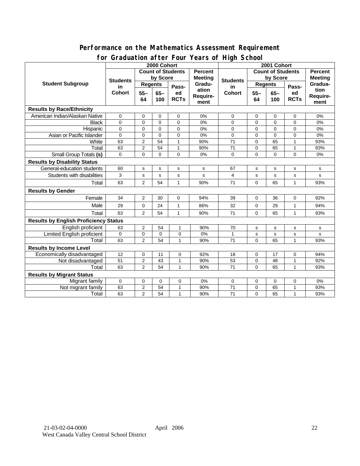### **Performance on the Mathematics Assessment Requirement for Graduation after Four Years of High School**

|                                              | 0. aaaation aftof foar foars of filgh Sonoo<br>2000 Cohort |                                     |             |                |                          | 2001 Cohort           |             |                |                |                |
|----------------------------------------------|------------------------------------------------------------|-------------------------------------|-------------|----------------|--------------------------|-----------------------|-------------|----------------|----------------|----------------|
| <b>Student Subgroup</b>                      |                                                            | <b>Count of Students</b><br>Percent |             |                | <b>Count of Students</b> |                       |             |                | <b>Percent</b> |                |
|                                              | <b>Students</b><br>in<br><b>Cohort</b>                     | by Score                            |             |                | <b>Meeting</b>           |                       | by Score    |                |                | <b>Meeting</b> |
|                                              |                                                            | <b>Regents</b>                      |             | Pass-          | Gradu-                   | <b>Students</b><br>in | Regents     |                | Pass-          | Gradua-        |
|                                              |                                                            | $55 -$                              | $65 -$      | ed             | ation                    | <b>Cohort</b>         | $55 -$      | $65-$          | ed             | tion           |
|                                              |                                                            | 64                                  | 100         | <b>RCTs</b>    | Require-                 |                       | 64          | 100            | <b>RCTs</b>    | Require-       |
|                                              |                                                            |                                     |             |                | ment                     |                       |             |                |                | ment           |
| <b>Results by Race/Ethnicity</b>             |                                                            |                                     |             |                |                          |                       |             |                |                |                |
| American Indian/Alaskan Native               | $\mathbf 0$                                                | 0                                   | $\mathbf 0$ | 0              | 0%                       | 0                     | 0           | $\mathbf 0$    | $\mathbf 0$    | 0%             |
| <b>Black</b>                                 | $\Omega$                                                   | $\mathbf 0$                         | $\mathbf 0$ | $\Omega$       | 0%                       | 0                     | $\mathbf 0$ | $\mathbf 0$    | 0              | 0%             |
| Hispanic                                     | $\Omega$                                                   | $\mathbf 0$                         | $\Omega$    | $\overline{0}$ | 0%                       | $\overline{0}$        | $\Omega$    | $\Omega$       | $\overline{0}$ | 0%             |
| Asian or Pacific Islander                    | $\Omega$                                                   | $\mathbf 0$                         | $\Omega$    | $\Omega$       | 0%                       | $\mathbf{0}$          | $\mathbf 0$ | $\overline{0}$ | $\mathbf 0$    | 0%             |
| White                                        | 63                                                         | $\overline{c}$                      | 54          | $\mathbf{1}$   | 90%                      | 71                    | $\mathbf 0$ | 65             | $\mathbf{1}$   | 93%            |
| Total                                        | 63                                                         | $\overline{c}$                      | 54          | $\mathbf{1}$   | 90%                      | 71                    | $\mathbf 0$ | 65             | $\mathbf{1}$   | 93%            |
| <b>Small Group Totals (s)</b>                | $\Omega$                                                   | $\overline{0}$                      | $\Omega$    | $\Omega$       | 0%                       | 0                     | $\mathbf 0$ | $\Omega$       | $\Omega$       | 0%             |
| <b>Results by Disability Status</b>          |                                                            |                                     |             |                |                          |                       |             |                |                |                |
| General-education students                   | 60                                                         | ${\bf s}$                           | $\mathbf s$ | s              | s                        | 67                    | s           | s              | s              | s              |
| Students with disabilities                   | 3                                                          | s                                   | s           | $\mathbf S$    | s                        | 4                     | $\mathbf s$ | $\mathbf S$    | s              | s              |
| Total                                        | 63                                                         | $\overline{2}$                      | 54          | $\mathbf{1}$   | 90%                      | 71                    | $\Omega$    | 65             | $\mathbf{1}$   | 93%            |
| <b>Results by Gender</b>                     |                                                            |                                     |             |                |                          |                       |             |                |                |                |
| Female                                       | 34                                                         | 2                                   | 30          | $\mathbf 0$    | 94%                      | 39                    | 0           | 36             | 0              | 92%            |
| Male                                         | 29                                                         | $\mathbf 0$                         | 24          | $\mathbf{1}$   | 86%                      | 32                    | $\Omega$    | 29             | $\mathbf{1}$   | 94%            |
| Total                                        | 63                                                         | $\overline{2}$                      | 54          | 1              | 90%                      | 71                    | $\Omega$    | 65             | 1              | 93%            |
| <b>Results by English Proficiency Status</b> |                                                            |                                     |             |                |                          |                       |             |                |                |                |
| English proficient                           | 63                                                         | $\overline{2}$                      | 54          | $\mathbf{1}$   | 90%                      | 70                    | s           | $\mathbf s$    | s              | s              |
| <b>Limited English proficient</b>            | 0                                                          | $\mathbf 0$                         | $\Omega$    | 0              | 0%                       | $\mathbf{1}$          | s           | $\mathbf s$    | s              | s              |
| Total                                        | 63                                                         | $\overline{2}$                      | 54          | $\mathbf{1}$   | 90%                      | 71                    | $\Omega$    | 65             | $\mathbf{1}$   | 93%            |
| <b>Results by Income Level</b>               |                                                            |                                     |             |                |                          |                       |             |                |                |                |
| Economically disadvantaged                   | 12                                                         | 0                                   | 11          | 0              | 92%                      | 18                    | 0           | 17             | 0              | 94%            |
| Not disadvantaged                            | 51                                                         | $\overline{c}$                      | 43          | $\mathbf{1}$   | 90%                      | 53                    | $\mathbf 0$ | 48             | 1              | 92%            |
| Total                                        | 63                                                         | $\overline{2}$                      | 54          | $\mathbf{1}$   | 90%                      | 71                    | $\Omega$    | 65             | 1              | 93%            |
| <b>Results by Migrant Status</b>             |                                                            |                                     |             |                |                          |                       |             |                |                |                |
| Migrant family                               | $\mathbf 0$                                                | 0                                   | 0           | 0              | 0%                       | 0                     | 0           | 0              | 0              | 0%             |
| Not migrant family                           | 63                                                         | $\boldsymbol{2}$                    | 54          | $\mathbf{1}$   | 90%                      | 71                    | 0           | 65             | $\mathbf{1}$   | 93%            |
| Total                                        | 63                                                         | 2                                   | 54          | $\mathbf{1}$   | 90%                      | 71                    | $\mathbf 0$ | 65             | $\mathbf{1}$   | 93%            |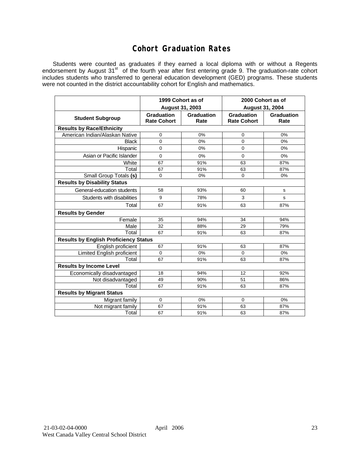## **Cohort Graduation Rates**

Students were counted as graduates if they earned a local diploma with or without a Regents endorsement by August 31<sup>st</sup> of the fourth year after first entering grade 9. The graduation-rate cohort includes students who transferred to general education development (GED) programs. These students were not counted in the district accountability cohort for English and mathematics.

|                                              | 1999 Cohort as of                |                    | 2000 Cohort as of<br><b>August 31, 2004</b> |                    |  |  |  |  |  |  |
|----------------------------------------------|----------------------------------|--------------------|---------------------------------------------|--------------------|--|--|--|--|--|--|
|                                              | August 31, 2003                  |                    |                                             |                    |  |  |  |  |  |  |
| <b>Student Subgroup</b>                      | Graduation<br><b>Rate Cohort</b> | Graduation<br>Rate | Graduation<br><b>Rate Cohort</b>            | Graduation<br>Rate |  |  |  |  |  |  |
| <b>Results by Race/Ethnicity</b>             |                                  |                    |                                             |                    |  |  |  |  |  |  |
| American Indian/Alaskan Native               | 0                                | 0%                 | 0                                           | 0%                 |  |  |  |  |  |  |
| <b>Black</b>                                 | $\mathbf{0}$                     | 0%                 | 0                                           | 0%                 |  |  |  |  |  |  |
| Hispanic                                     | $\mathbf 0$                      | 0%                 | $\mathbf 0$                                 | 0%                 |  |  |  |  |  |  |
| Asian or Pacific Islander                    | $\Omega$                         | 0%                 | $\Omega$                                    | 0%                 |  |  |  |  |  |  |
| White                                        | 67                               | 91%                | 63                                          | 87%                |  |  |  |  |  |  |
| Total                                        | 67                               | 91%                | 63                                          | 87%                |  |  |  |  |  |  |
| Small Group Totals (s)                       | $\Omega$                         | 0%                 | 0                                           | 0%                 |  |  |  |  |  |  |
| <b>Results by Disability Status</b>          |                                  |                    |                                             |                    |  |  |  |  |  |  |
| General-education students                   | 58                               | 93%                | 60                                          | s                  |  |  |  |  |  |  |
| Students with disabilities                   | 9                                | 78%                | 3                                           | s                  |  |  |  |  |  |  |
| Total                                        | 67                               | 91%                | 63                                          | 87%                |  |  |  |  |  |  |
| <b>Results by Gender</b>                     |                                  |                    |                                             |                    |  |  |  |  |  |  |
| Female                                       | 35                               | 94%                | 34                                          | 94%                |  |  |  |  |  |  |
| Male                                         | 32                               | 88%                | 29                                          | 79%                |  |  |  |  |  |  |
| Total                                        | 67                               | 91%                | 63                                          | 87%                |  |  |  |  |  |  |
| <b>Results by English Proficiency Status</b> |                                  |                    |                                             |                    |  |  |  |  |  |  |
| English proficient                           | 67                               | 91%                | 63                                          | 87%                |  |  |  |  |  |  |
| <b>Limited English proficient</b>            | 0                                | 0%                 | $\mathbf 0$                                 | 0%                 |  |  |  |  |  |  |
| Total                                        | 67                               | 91%                | 63                                          | 87%                |  |  |  |  |  |  |
| <b>Results by Income Level</b>               |                                  |                    |                                             |                    |  |  |  |  |  |  |
| Economically disadvantaged                   | 18                               | 94%                | 12                                          | 92%                |  |  |  |  |  |  |
| Not disadvantaged                            | 49                               | 90%                | 51                                          | 86%                |  |  |  |  |  |  |
| Total                                        | 67                               | 91%                | 63                                          | 87%                |  |  |  |  |  |  |
| <b>Results by Migrant Status</b>             |                                  |                    |                                             |                    |  |  |  |  |  |  |
| Migrant family                               | 0                                | 0%                 | $\mathbf 0$                                 | 0%                 |  |  |  |  |  |  |
| Not migrant family                           | 67                               | 91%                | 63                                          | 87%                |  |  |  |  |  |  |
| Total                                        | 67                               | 91%                | 63                                          | 87%                |  |  |  |  |  |  |